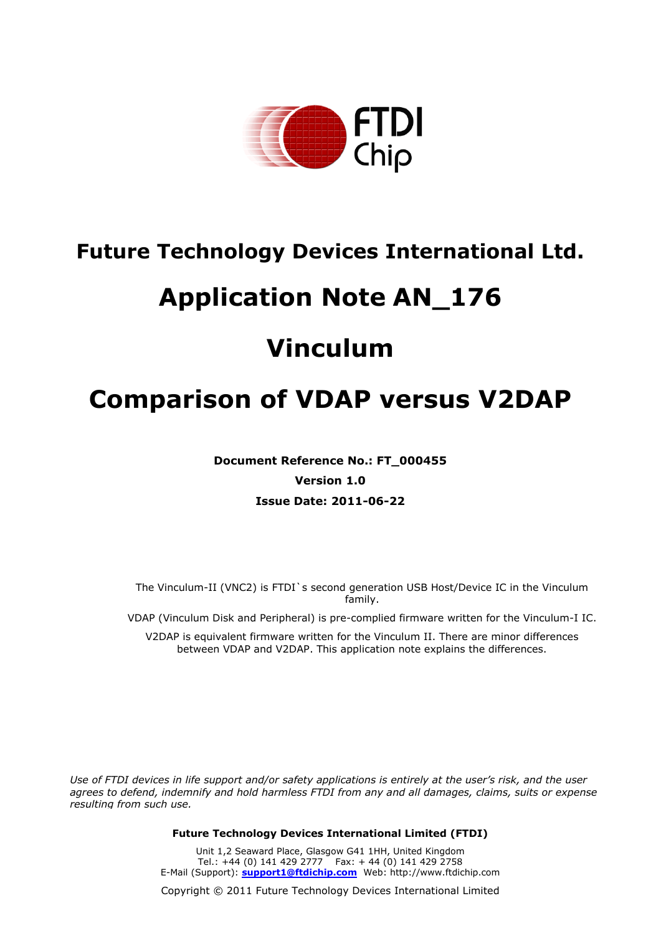

# **Future Technology Devices International Ltd.**

# **Application Note AN\_176**

# **Vinculum**

# **Comparison of VDAP versus V2DAP**

**Document Reference No.: FT\_000455 Version 1.0 Issue Date: 2011-06-22**

The Vinculum-II (VNC2) is FTDI`s second generation USB Host/Device IC in the Vinculum family.

VDAP (Vinculum Disk and Peripheral) is pre-complied firmware written for the Vinculum-I IC.

V2DAP is equivalent firmware written for the Vinculum II. There are minor differences between VDAP and V2DAP. This application note explains the differences.

Use of FTDI devices in life support and/or safety applications is entirely at the user's risk, and the user *agrees to defend, indemnify and hold harmless FTDI from any and all damages, claims, suits or expense resulting from such use.*

**Future Technology Devices International Limited (FTDI)**

Unit 1,2 Seaward Place, Glasgow G41 1HH, United Kingdom Tel.: +44 (0) 141 429 2777 Fax: + 44 (0) 141 429 2758 E-Mail (Support): **support1@ftdichip.com** Web: http://www.ftdichip.com

Copyright © 2011 Future Technology Devices International Limited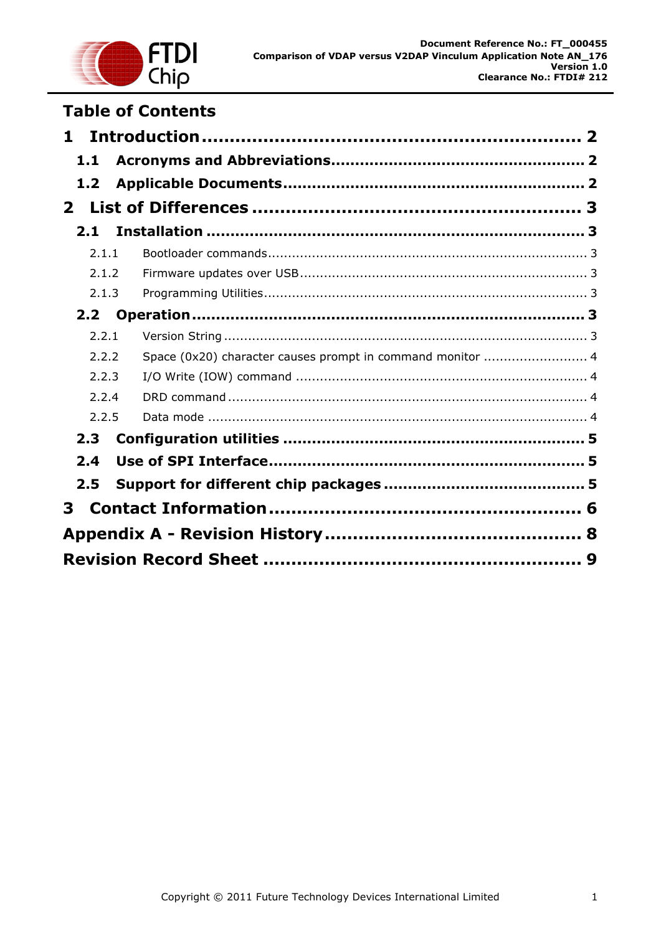

## **Table of Contents**

| 1.               |                                                            |  |  |  |
|------------------|------------------------------------------------------------|--|--|--|
| 1.1              |                                                            |  |  |  |
| 1.2              |                                                            |  |  |  |
| $\mathbf{2}$     |                                                            |  |  |  |
| 2.1              |                                                            |  |  |  |
| 2.1.1            |                                                            |  |  |  |
| 2.1.2            |                                                            |  |  |  |
| 2.1.3            |                                                            |  |  |  |
| 2.2 <sub>1</sub> |                                                            |  |  |  |
| 2.2.1            |                                                            |  |  |  |
| 2.2.2            | Space (0x20) character causes prompt in command monitor  4 |  |  |  |
| 2.2.3            |                                                            |  |  |  |
| 2.2.4            |                                                            |  |  |  |
| 2.2.5            |                                                            |  |  |  |
| 2.3              |                                                            |  |  |  |
| 2.4              |                                                            |  |  |  |
| 2.5              |                                                            |  |  |  |
| 3.               |                                                            |  |  |  |
|                  |                                                            |  |  |  |
|                  |                                                            |  |  |  |
|                  | 9                                                          |  |  |  |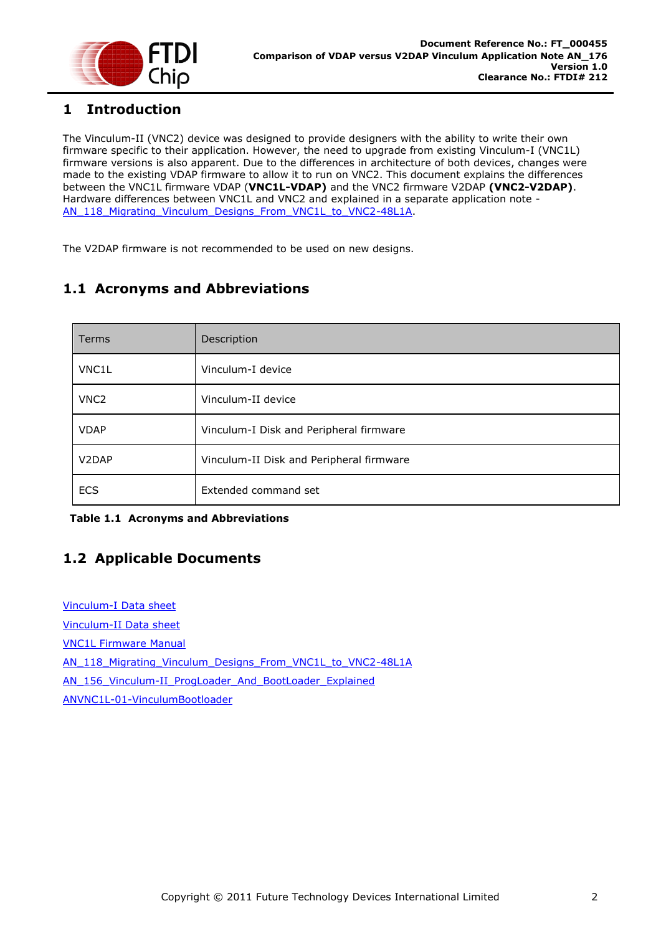

## <span id="page-2-0"></span>**1 Introduction**

The Vinculum-II (VNC2) device was designed to provide designers with the ability to write their own firmware specific to their application. However, the need to upgrade from existing Vinculum-I (VNC1L) firmware versions is also apparent. Due to the differences in architecture of both devices, changes were made to the existing VDAP firmware to allow it to run on VNC2. This document explains the differences between the VNC1L firmware VDAP (**VNC1L-VDAP)** and the VNC2 firmware V2DAP **(VNC2-V2DAP)**. Hardware differences between VNC1L and VNC2 and explained in a separate application note - [AN\\_118\\_Migrating\\_Vinculum\\_Designs\\_From\\_VNC1L\\_to\\_VNC2-48L1A.](http://www.ftdichip.com/Support/Documents/AppNotes/AN_118_Migrating_Vinculum_Designs_From_VNC1L_to_VNC2-48L1A.pdf)

The V2DAP firmware is not recommended to be used on new designs.

## <span id="page-2-1"></span>**1.1 Acronyms and Abbreviations**

| <b>Terms</b>                   | Description                              |
|--------------------------------|------------------------------------------|
| VNC1L                          | Vinculum-I device                        |
| VNC <sub>2</sub>               | Vinculum-II device                       |
| <b>VDAP</b>                    | Vinculum-I Disk and Peripheral firmware  |
| V <sub>2</sub> D <sub>AP</sub> | Vinculum-II Disk and Peripheral firmware |
| <b>ECS</b>                     | Extended command set                     |

#### **Table 1.1 Acronyms and Abbreviations**

## <span id="page-2-2"></span>**1.2 Applicable Documents**

[Vinculum-I](http://www.ftdichip.com/Support/Documents/DataSheets/ICs/DS_VNC1L.pdf) Data sheet

[Vinculum-II Data sheet](http://www.ftdichip.com/Support/Documents/DataSheets/ICs/DS_Vinculum-II.pdf)

[VNC1L Firmware Manual](http://www.ftdichip.com/Firmware/Precompiled/UM_VinculumFirmware_V205.pdf)

[AN\\_118\\_Migrating\\_Vinculum\\_Designs\\_From\\_VNC1L\\_to\\_VNC2-48L1A](http://www.ftdichip.com/Support/Documents/AppNotes/AN_118_Migrating_Vinculum_Designs_From_VNC1L_to_VNC2-48L1A.pdf)

[AN\\_156\\_Vinculum-II\\_ProgLoader\\_And\\_BootLoader\\_Explained](http://www.ftdichip.com/Support/Documents/AppNotes/AN_156_Vinculum-II_ProgLoader_And_BootLoader_Explained.pdf)

[ANVNC1L-01-VinculumBootloader](http://www.ftdichip.com/Support/Documents/AppNotes/ANVNC1L-01-VinculumBootloader.pdf)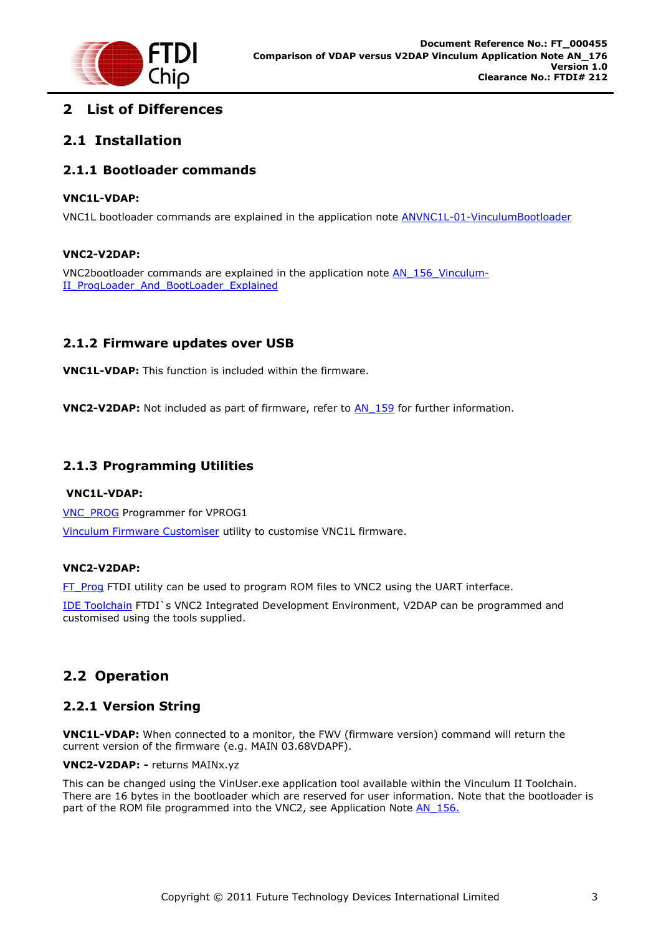

## <span id="page-3-0"></span>**2 List of Differences**

## <span id="page-3-1"></span>**2.1 Installation**

## <span id="page-3-2"></span>**2.1.1 Bootloader commands**

#### **VNC1L-VDAP:**

VNC1L bootloader commands are explained in the application note [ANVNC1L-01-VinculumBootloader](http://www.ftdichip.com/Support/Documents/AppNotes/ANVNC1L-01-VinculumBootloader.pdf)

#### **VNC2-V2DAP:**

VNC2bootloader commands are explained in the application note [AN\\_156\\_Vinculum-](http://www.ftdichip.com/Support/Documents/AppNotes/AN_156_Vinculum-II_ProgLoader_And_BootLoader_Explained.pdf)[II\\_ProgLoader\\_And\\_BootLoader\\_Explained](http://www.ftdichip.com/Support/Documents/AppNotes/AN_156_Vinculum-II_ProgLoader_And_BootLoader_Explained.pdf)

## <span id="page-3-3"></span>**2.1.2 Firmware updates over USB**

**VNC1L-VDAP:** This function is included within the firmware.

**VNC2-V2DAP:** Not included as part of firmware, refer to [AN\\_159](http://www.ftdichip.com/Support/Documents/AppNotes/AN_159%20Vinculum-II%20Firmware%20Flash%20Programming.pdf) for further information.

## <span id="page-3-4"></span>**2.1.3 Programming Utilities**

#### **VNC1L-VDAP:**

[VNC\\_PROG](http://www.ftdichip.com/Support/Utilities/VPROG.zip) Programmer for VPROG1 [Vinculum Firmware Customiser](http://www.ftdichip.com/Support/Utilities/VncFwMod.zip) utility to customise VNC1L firmware.

#### **VNC2-V2DAP:**

[FT\\_Prog](http://www.ftdichip.com/Support/Utilities/FT_Prog_v2.0.zip) FTDI utility can be used to program ROM files to VNC2 using the UART interface.

[IDE Toolchain](http://www.ftdichip.com/Firmware/VNC2tools.htm#VNC2Toolchain) FTDI`s VNC2 Integrated Development Environment, V2DAP can be programmed and customised using the tools supplied.

## <span id="page-3-5"></span>**2.2 Operation**

## <span id="page-3-6"></span>**2.2.1 Version String**

**VNC1L-VDAP:** When connected to a monitor, the FWV (firmware version) command will return the current version of the firmware (e.g. MAIN 03.68VDAPF).

#### **VNC2-V2DAP: -** returns MAINx.yz

This can be changed using the VinUser.exe application tool available within the Vinculum II Toolchain. There are 16 bytes in the bootloader which are reserved for user information. Note that the bootloader is part of the ROM file programmed into the VNC2, see Application Note AN 156.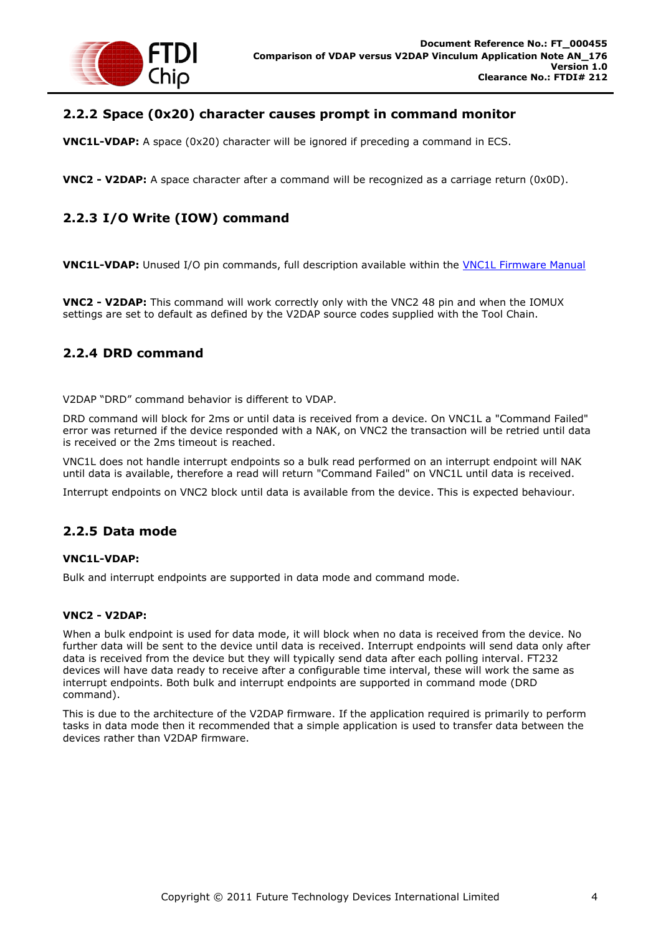

## <span id="page-4-0"></span>**2.2.2 Space (0x20) character causes prompt in command monitor**

**VNC1L-VDAP:** A space (0x20) character will be ignored if preceding a command in ECS.

**VNC2 - V2DAP:** A space character after a command will be recognized as a carriage return (0x0D).

## <span id="page-4-1"></span>**2.2.3 I/O Write (IOW) command**

**VNC1L-VDAP:** Unused I/O pin commands, full description available within the [VNC1L Firmware Manual](http://www.ftdichip.com/Firmware/Precompiled/UM_VinculumFirmware_V205.pdf)

**VNC2 - V2DAP:** This command will work correctly only with the VNC2 48 pin and when the IOMUX settings are set to default as defined by the V2DAP source codes supplied with the Tool Chain.

### <span id="page-4-2"></span>**2.2.4 DRD command**

V2DAP "DRD" command behavior is different to VDAP.

DRD command will block for 2ms or until data is received from a device. On VNC1L a "Command Failed" error was returned if the device responded with a NAK, on VNC2 the transaction will be retried until data is received or the 2ms timeout is reached.

VNC1L does not handle interrupt endpoints so a bulk read performed on an interrupt endpoint will NAK until data is available, therefore a read will return "Command Failed" on VNC1L until data is received.

Interrupt endpoints on VNC2 block until data is available from the device. This is expected behaviour.

### <span id="page-4-3"></span>**2.2.5 Data mode**

#### **VNC1L-VDAP:**

Bulk and interrupt endpoints are supported in data mode and command mode.

#### **VNC2 - V2DAP:**

When a bulk endpoint is used for data mode, it will block when no data is received from the device. No further data will be sent to the device until data is received. Interrupt endpoints will send data only after data is received from the device but they will typically send data after each polling interval. FT232 devices will have data ready to receive after a configurable time interval, these will work the same as interrupt endpoints. Both bulk and interrupt endpoints are supported in command mode (DRD command).

This is due to the architecture of the V2DAP firmware. If the application required is primarily to perform tasks in data mode then it recommended that a simple application is used to transfer data between the devices rather than V2DAP firmware.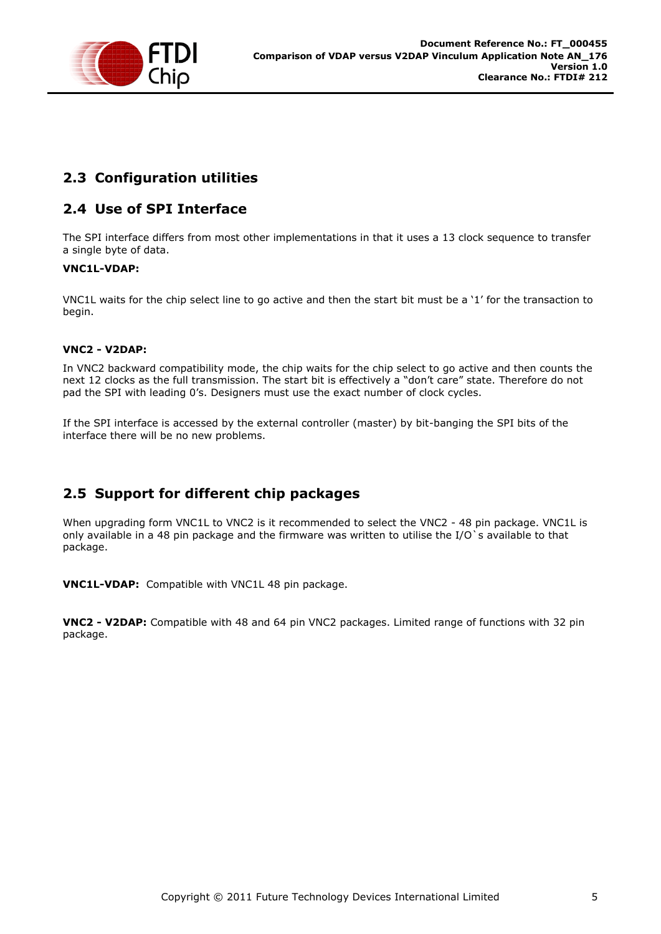

## <span id="page-5-0"></span>**2.3 Configuration utilities**

## <span id="page-5-1"></span>**2.4 Use of SPI Interface**

The SPI interface differs from most other implementations in that it uses a 13 clock sequence to transfer a single byte of data.

### **VNC1L-VDAP:**

VNC1L waits for the chip select line to go active and then the start bit must be a "1" for the transaction to begin.

### **VNC2 - V2DAP:**

In VNC2 backward compatibility mode, the chip waits for the chip select to go active and then counts the next 12 clocks as the full transmission. The start bit is effectively a "don"t care" state. Therefore do not pad the SPI with leading 0"s. Designers must use the exact number of clock cycles.

If the SPI interface is accessed by the external controller (master) by bit-banging the SPI bits of the interface there will be no new problems.

## <span id="page-5-2"></span>**2.5 Support for different chip packages**

When upgrading form VNC1L to VNC2 is it recommended to select the VNC2 - 48 pin package. VNC1L is only available in a 48 pin package and the firmware was written to utilise the I/O`s available to that package.

**VNC1L-VDAP:** Compatible with VNC1L 48 pin package.

**VNC2 - V2DAP:** Compatible with 48 and 64 pin VNC2 packages. Limited range of functions with 32 pin package.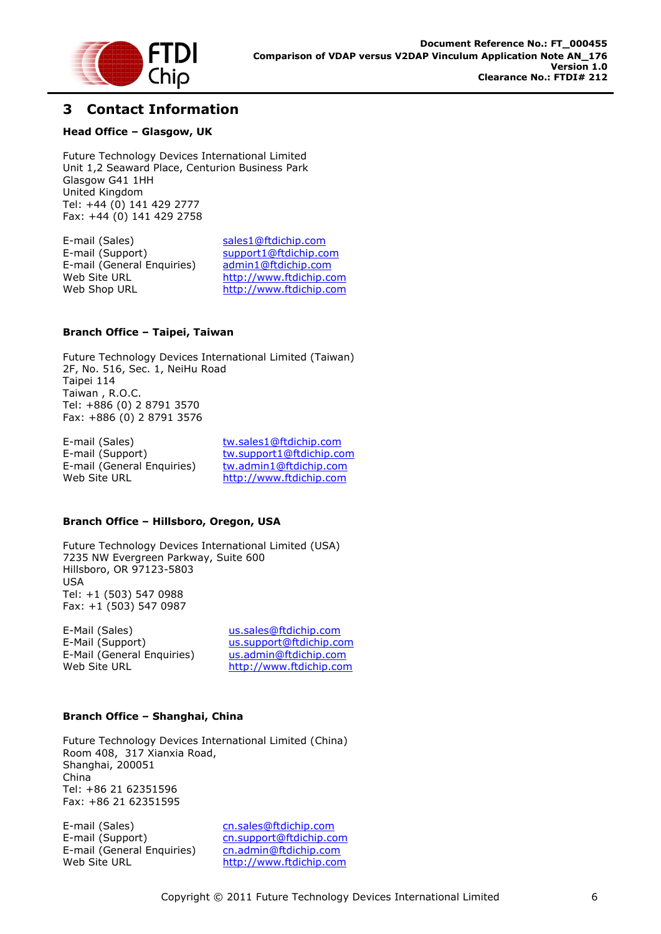

## <span id="page-6-0"></span>**3 Contact Information**

#### **Head Office – Glasgow, UK**

Future Technology Devices International Limited Unit 1,2 Seaward Place, Centurion Business Park Glasgow G41 1HH United Kingdom Tel: +44 (0) 141 429 2777 Fax: +44 (0) 141 429 2758

E-mail (Sales) [sales1@ftdichip.com](mailto:sales1@ftdichip.com) E-mail (Support) [support1@ftdichip.com](mailto:support1@ftdichip.com) E-mail (General Enquiries) [admin1@ftdichip.com](mailto:admin1@ftdichip.com) Web Site URL [http://www.ftdichip.com](http://www.ftdichip.com/) Web Shop URL [http://www.ftdichip.com](http://www.ftdichip.com/)

#### **Branch Office – Taipei, Taiwan**

Future Technology Devices International Limited (Taiwan) 2F, No. 516, Sec. 1, NeiHu Road Taipei 114 Taiwan , R.O.C. Tel: +886 (0) 2 8791 3570 Fax: +886 (0) 2 8791 3576

E-mail (Sales) [tw.sales1@ftdichip.com](mailto:tw.sales1@ftdichip.com) E-mail (Support) [tw.support1@ftdichip.com](mailto:tw.support1@ftdichip.com) E-mail (General Enquiries) [tw.admin1@ftdichip.com](mailto:tw.admin1@ftdichip.com) Web Site URL [http://www.ftdichip.com](http://www.ftdichip.com/)

#### **Branch Office – Hillsboro, Oregon, USA**

Future Technology Devices International Limited (USA) 7235 NW Evergreen Parkway, Suite 600 Hillsboro, OR 97123-5803 USA Tel: +1 (503) 547 0988 Fax: +1 (503) 547 0987

E-Mail (Sales) [us.sales@ftdichip.com](mailto:us.sales@ftdichip.com) E-Mail (Support) [us.support@ftdichip.com](mailto:us.support@ftdichip.com) E-Mail (General Enquiries) [us.admin@ftdichip.com](mailto:us.admin@ftdichip.com) Web Site URL [http://www.ftdichip.com](http://www.ftdichip.com/)

#### **Branch Office – Shanghai, China**

Future Technology Devices International Limited (China) Room 408, 317 Xianxia Road, Shanghai, 200051 China Tel: +86 21 62351596 Fax: +86 21 62351595

E-mail (Sales) [cn.sales@ftdichip.com](mailto:cn.sales@ftdichip.com) E-mail (Support)[cn.support@ftdichip.com](mailto:cn.support@ftdichip.com) E-mail (General Enquiries) [cn.admin@ftdichip.com](mailto:cn.admin@ftdichip.com) Web Site URL [http://www.ftdichip.com](http://www.ftdichip.com/)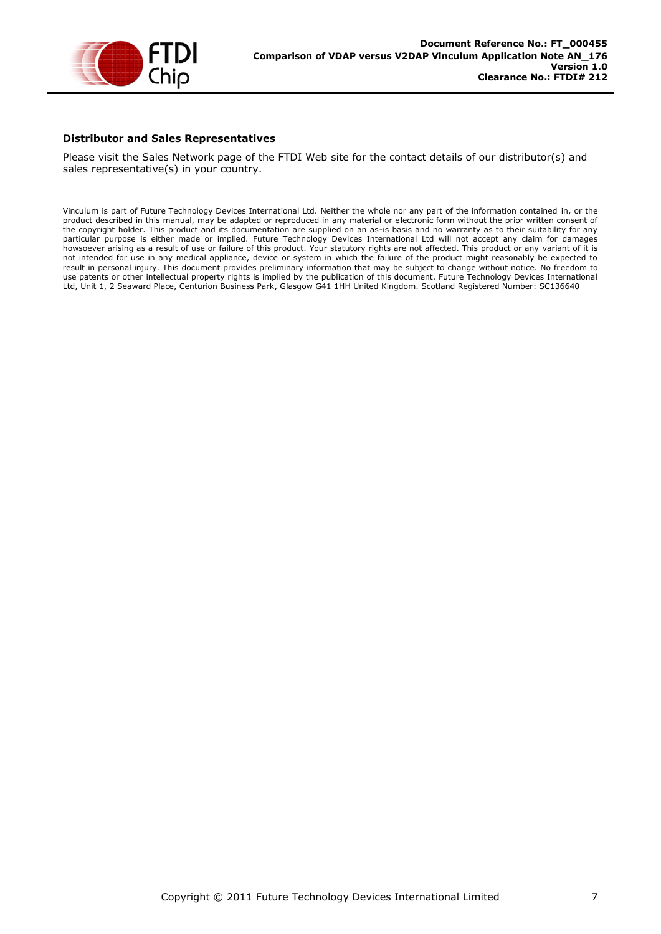

#### **Distributor and Sales Representatives**

Please visit the Sales Network page of the FTDI Web site for the contact details of our distributor(s) and sales representative(s) in your country.

Vinculum is part of Future Technology Devices International Ltd. Neither the whole nor any part of the information contained in, or the product described in this manual, may be adapted or reproduced in any material or electronic form without the prior written consent of the copyright holder. This product and its documentation are supplied on an as-is basis and no warranty as to their suitability for any particular purpose is either made or implied. Future Technology Devices International Ltd will not accept any claim for damages howsoever arising as a result of use or failure of this product. Your statutory rights are not affected. This product or any variant of it is not intended for use in any medical appliance, device or system in which the failure of the product might reasonably be expected to result in personal injury. This document provides preliminary information that may be subject to change without notice. No freedom to use patents or other intellectual property rights is implied by the publication of this document. Future Technology Devices International Ltd, Unit 1, 2 Seaward Place, Centurion Business Park, Glasgow G41 1HH United Kingdom. Scotland Registered Number: SC136640